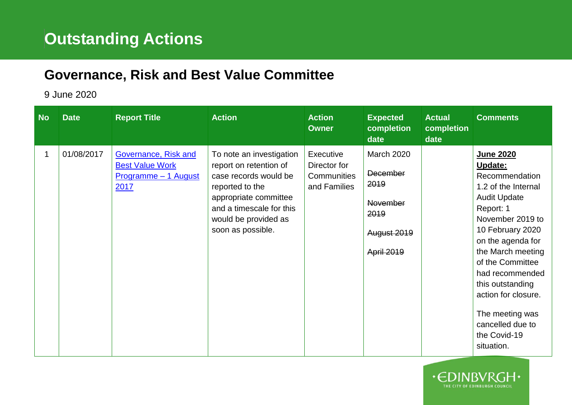## **Governance, Risk and Best Value Committee**

## 9 June 2020

| <b>No</b> | <b>Date</b> | <b>Report Title</b>                                                            | <b>Action</b>                                                                                                                                                                                    | <b>Action</b><br><b>Owner</b>                            | <b>Expected</b><br>completion<br>date                                                                | <b>Actual</b><br>completion<br>date | <b>Comments</b>                                                                                                                                                                                                                                                                                                                            |
|-----------|-------------|--------------------------------------------------------------------------------|--------------------------------------------------------------------------------------------------------------------------------------------------------------------------------------------------|----------------------------------------------------------|------------------------------------------------------------------------------------------------------|-------------------------------------|--------------------------------------------------------------------------------------------------------------------------------------------------------------------------------------------------------------------------------------------------------------------------------------------------------------------------------------------|
| 1         | 01/08/2017  | Governance, Risk and<br><b>Best Value Work</b><br>Programme - 1 August<br>2017 | To note an investigation<br>report on retention of<br>case records would be<br>reported to the<br>appropriate committee<br>and a timescale for this<br>would be provided as<br>soon as possible. | Executive<br>Director for<br>Communities<br>and Families | <b>March 2020</b><br><b>December</b><br>2019<br><b>November</b><br>2019<br>August 2019<br>April 2019 |                                     | June 2020<br>Update:<br>Recommendation<br>1.2 of the Internal<br><b>Audit Update</b><br>Report: 1<br>November 2019 to<br>10 February 2020<br>on the agenda for<br>the March meeting<br>of the Committee<br>had recommended<br>this outstanding<br>action for closure.<br>The meeting was<br>cancelled due to<br>the Covid-19<br>situation. |

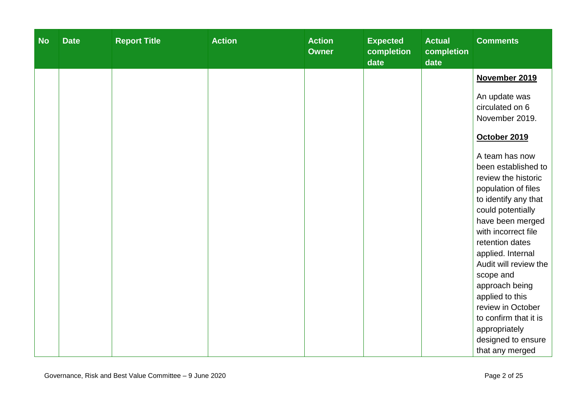| <b>No</b> | <b>Date</b> | <b>Report Title</b> | <b>Action</b> | <b>Action</b><br><b>Owner</b> | <b>Expected</b><br>completion<br>date | <b>Actual</b><br>completion<br>date | <b>Comments</b>                                                                                                                                                                                                     |
|-----------|-------------|---------------------|---------------|-------------------------------|---------------------------------------|-------------------------------------|---------------------------------------------------------------------------------------------------------------------------------------------------------------------------------------------------------------------|
|           |             |                     |               |                               |                                       |                                     | November 2019                                                                                                                                                                                                       |
|           |             |                     |               |                               |                                       |                                     | An update was<br>circulated on 6<br>November 2019.                                                                                                                                                                  |
|           |             |                     |               |                               |                                       |                                     | October 2019                                                                                                                                                                                                        |
|           |             |                     |               |                               |                                       |                                     | A team has now<br>been established to<br>review the historic<br>population of files<br>to identify any that<br>could potentially<br>have been merged<br>with incorrect file<br>retention dates<br>applied. Internal |
|           |             |                     |               |                               |                                       |                                     | Audit will review the<br>scope and<br>approach being<br>applied to this<br>review in October<br>to confirm that it is<br>appropriately<br>designed to ensure<br>that any merged                                     |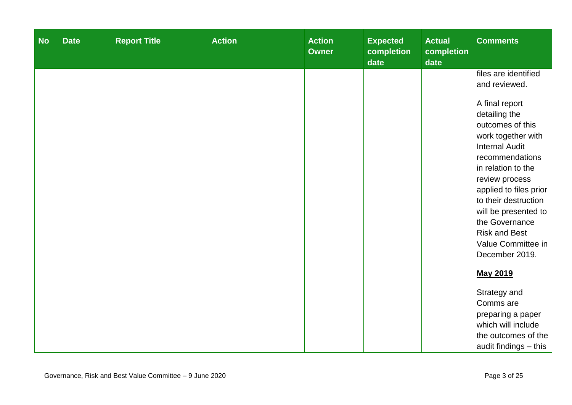| <b>No</b> | <b>Date</b> | <b>Report Title</b> | <b>Action</b> | <b>Action</b><br><b>Owner</b> | <b>Expected</b><br>completion<br>date | <b>Actual</b><br>completion<br>date | <b>Comments</b>                            |
|-----------|-------------|---------------------|---------------|-------------------------------|---------------------------------------|-------------------------------------|--------------------------------------------|
|           |             |                     |               |                               |                                       |                                     | files are identified                       |
|           |             |                     |               |                               |                                       |                                     | and reviewed.                              |
|           |             |                     |               |                               |                                       |                                     | A final report                             |
|           |             |                     |               |                               |                                       |                                     | detailing the                              |
|           |             |                     |               |                               |                                       |                                     | outcomes of this                           |
|           |             |                     |               |                               |                                       |                                     | work together with                         |
|           |             |                     |               |                               |                                       |                                     | <b>Internal Audit</b><br>recommendations   |
|           |             |                     |               |                               |                                       |                                     | in relation to the                         |
|           |             |                     |               |                               |                                       |                                     | review process                             |
|           |             |                     |               |                               |                                       |                                     | applied to files prior                     |
|           |             |                     |               |                               |                                       |                                     | to their destruction                       |
|           |             |                     |               |                               |                                       |                                     | will be presented to                       |
|           |             |                     |               |                               |                                       |                                     | the Governance                             |
|           |             |                     |               |                               |                                       |                                     | <b>Risk and Best</b><br>Value Committee in |
|           |             |                     |               |                               |                                       |                                     | December 2019.                             |
|           |             |                     |               |                               |                                       |                                     |                                            |
|           |             |                     |               |                               |                                       |                                     | <b>May 2019</b>                            |
|           |             |                     |               |                               |                                       |                                     | Strategy and                               |
|           |             |                     |               |                               |                                       |                                     | Comms are                                  |
|           |             |                     |               |                               |                                       |                                     | preparing a paper                          |
|           |             |                     |               |                               |                                       |                                     | which will include                         |
|           |             |                     |               |                               |                                       |                                     | the outcomes of the                        |
|           |             |                     |               |                               |                                       |                                     | audit findings - this                      |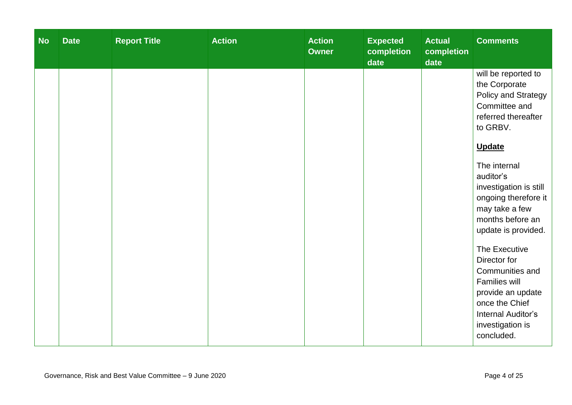| <b>No</b> | <b>Date</b> | <b>Report Title</b> | <b>Action</b> | <b>Action</b><br><b>Owner</b> | <b>Expected</b><br>completion<br>date | <b>Actual</b><br>completion<br>date | <b>Comments</b>                                                                                                                                                                                                                                                                                                                                                                                                                                  |
|-----------|-------------|---------------------|---------------|-------------------------------|---------------------------------------|-------------------------------------|--------------------------------------------------------------------------------------------------------------------------------------------------------------------------------------------------------------------------------------------------------------------------------------------------------------------------------------------------------------------------------------------------------------------------------------------------|
|           |             |                     |               |                               |                                       |                                     | will be reported to<br>the Corporate<br>Policy and Strategy<br>Committee and<br>referred thereafter<br>to GRBV.<br><b>Update</b><br>The internal<br>auditor's<br>investigation is still<br>ongoing therefore it<br>may take a few<br>months before an<br>update is provided.<br>The Executive<br>Director for<br>Communities and<br>Families will<br>provide an update<br>once the Chief<br>Internal Auditor's<br>investigation is<br>concluded. |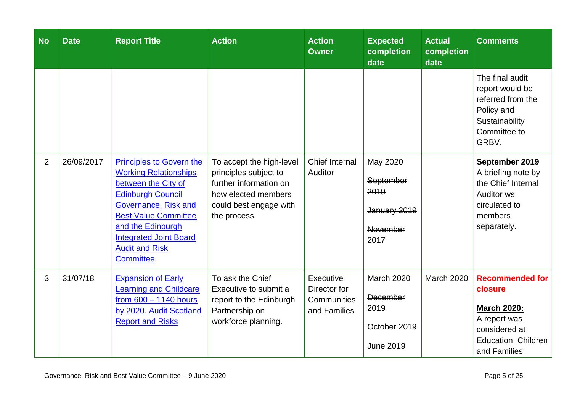| <b>No</b>      | <b>Date</b> | <b>Report Title</b>                                                                                                                                                                                                                                                          | <b>Action</b>                                                                                                                                | <b>Action</b><br><b>Owner</b>                            | <b>Expected</b><br>completion<br>date                                     | <b>Actual</b><br>completion<br>date | <b>Comments</b>                                                                                                                        |
|----------------|-------------|------------------------------------------------------------------------------------------------------------------------------------------------------------------------------------------------------------------------------------------------------------------------------|----------------------------------------------------------------------------------------------------------------------------------------------|----------------------------------------------------------|---------------------------------------------------------------------------|-------------------------------------|----------------------------------------------------------------------------------------------------------------------------------------|
|                |             |                                                                                                                                                                                                                                                                              |                                                                                                                                              |                                                          |                                                                           |                                     | The final audit<br>report would be<br>referred from the<br>Policy and<br>Sustainability<br>Committee to<br>GRBV.                       |
| $\overline{2}$ | 26/09/2017  | <b>Principles to Govern the</b><br><b>Working Relationships</b><br>between the City of<br><b>Edinburgh Council</b><br>Governance, Risk and<br><b>Best Value Committee</b><br>and the Edinburgh<br><b>Integrated Joint Board</b><br><b>Audit and Risk</b><br><b>Committee</b> | To accept the high-level<br>principles subject to<br>further information on<br>how elected members<br>could best engage with<br>the process. | Chief Internal<br>Auditor                                | May 2020<br>September<br>2019<br>January 2019<br>November<br>2017         |                                     | September 2019<br>A briefing note by<br>the Chief Internal<br><b>Auditor ws</b><br>circulated to<br>members<br>separately.             |
| 3              | 31/07/18    | <b>Expansion of Early</b><br><b>Learning and Childcare</b><br>from $600 - 1140$ hours<br>by 2020. Audit Scotland<br><b>Report and Risks</b>                                                                                                                                  | To ask the Chief<br>Executive to submit a<br>report to the Edinburgh<br>Partnership on<br>workforce planning.                                | Executive<br>Director for<br>Communities<br>and Families | <b>March 2020</b><br><b>December</b><br>2019<br>October 2019<br>June 2019 | <b>March 2020</b>                   | <b>Recommended for</b><br>closure<br><b>March 2020:</b><br>A report was<br>considered at<br><b>Education, Children</b><br>and Families |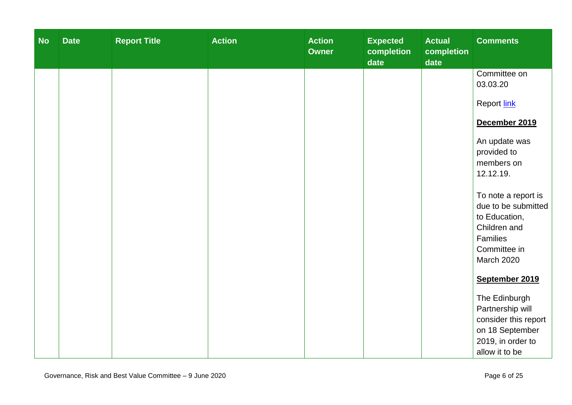| <b>No</b> | <b>Date</b> | <b>Report Title</b> | <b>Action</b> | <b>Action</b><br><b>Owner</b> | <b>Expected</b><br>completion<br>date | <b>Actual</b><br>completion<br>date | <b>Comments</b>                                                                                                       |
|-----------|-------------|---------------------|---------------|-------------------------------|---------------------------------------|-------------------------------------|-----------------------------------------------------------------------------------------------------------------------|
|           |             |                     |               |                               |                                       |                                     | Committee on<br>03.03.20                                                                                              |
|           |             |                     |               |                               |                                       |                                     | Report link                                                                                                           |
|           |             |                     |               |                               |                                       |                                     | December 2019                                                                                                         |
|           |             |                     |               |                               |                                       |                                     | An update was<br>provided to<br>members on<br>12.12.19.                                                               |
|           |             |                     |               |                               |                                       |                                     | To note a report is<br>due to be submitted<br>to Education,<br>Children and<br>Families<br>Committee in<br>March 2020 |
|           |             |                     |               |                               |                                       |                                     | September 2019<br>The Edinburgh                                                                                       |
|           |             |                     |               |                               |                                       |                                     | Partnership will<br>consider this report<br>on 18 September<br>2019, in order to<br>allow it to be                    |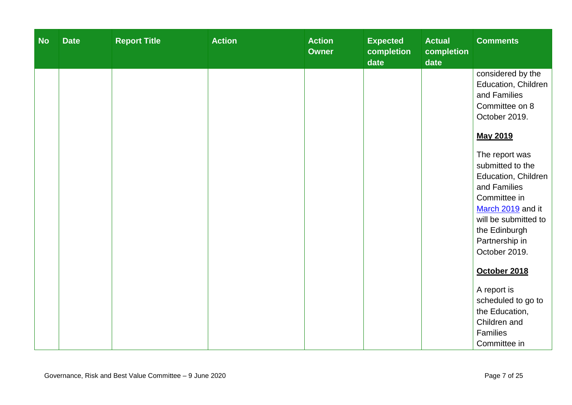| <b>No</b> | <b>Date</b> | <b>Report Title</b> | <b>Action</b> | <b>Action</b><br><b>Owner</b> | <b>Expected</b><br>completion<br>date | <b>Actual</b><br>completion<br>date | <b>Comments</b>                                                                                                                                                                                                                                                                                       |
|-----------|-------------|---------------------|---------------|-------------------------------|---------------------------------------|-------------------------------------|-------------------------------------------------------------------------------------------------------------------------------------------------------------------------------------------------------------------------------------------------------------------------------------------------------|
|           |             |                     |               |                               |                                       |                                     | considered by the<br>Education, Children<br>and Families<br>Committee on 8<br>October 2019.<br>May 2019<br>The report was<br>submitted to the<br>Education, Children<br>and Families<br>Committee in<br>March 2019 and it<br>will be submitted to<br>the Edinburgh<br>Partnership in<br>October 2019. |
|           |             |                     |               |                               |                                       |                                     | October 2018<br>A report is<br>scheduled to go to<br>the Education,<br>Children and<br>Families<br>Committee in                                                                                                                                                                                       |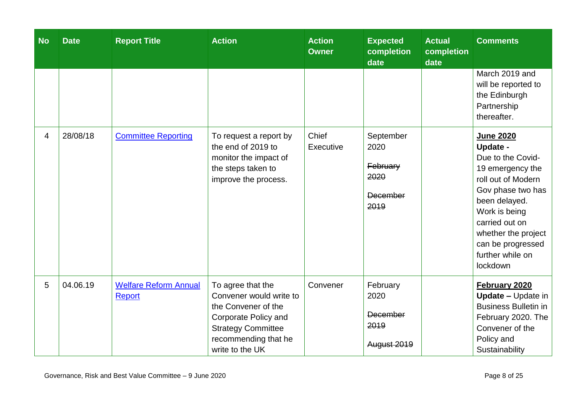| <b>No</b>      | <b>Date</b> | <b>Report Title</b>                    | <b>Action</b>                                                                                                                                                       | <b>Action</b><br><b>Owner</b> | <b>Expected</b><br>completion<br>date                      | <b>Actual</b><br>completion<br>date | <b>Comments</b>                                                                                                                                                                                                                                  |
|----------------|-------------|----------------------------------------|---------------------------------------------------------------------------------------------------------------------------------------------------------------------|-------------------------------|------------------------------------------------------------|-------------------------------------|--------------------------------------------------------------------------------------------------------------------------------------------------------------------------------------------------------------------------------------------------|
|                |             |                                        |                                                                                                                                                                     |                               |                                                            |                                     | March 2019 and<br>will be reported to<br>the Edinburgh<br>Partnership<br>thereafter.                                                                                                                                                             |
| $\overline{4}$ | 28/08/18    | <b>Committee Reporting</b>             | To request a report by<br>the end of 2019 to<br>monitor the impact of<br>the steps taken to<br>improve the process.                                                 | Chief<br>Executive            | September<br>2020<br>February<br>2020<br>December<br>2019  |                                     | <b>June 2020</b><br>Update -<br>Due to the Covid-<br>19 emergency the<br>roll out of Modern<br>Gov phase two has<br>been delayed.<br>Work is being<br>carried out on<br>whether the project<br>can be progressed<br>further while on<br>lockdown |
| 5              | 04.06.19    | <b>Welfare Reform Annual</b><br>Report | To agree that the<br>Convener would write to<br>the Convener of the<br>Corporate Policy and<br><b>Strategy Committee</b><br>recommending that he<br>write to the UK | Convener                      | February<br>2020<br><b>December</b><br>2019<br>August 2019 |                                     | February 2020<br><b>Update - Update in</b><br><b>Business Bulletin in</b><br>February 2020. The<br>Convener of the<br>Policy and<br>Sustainability                                                                                               |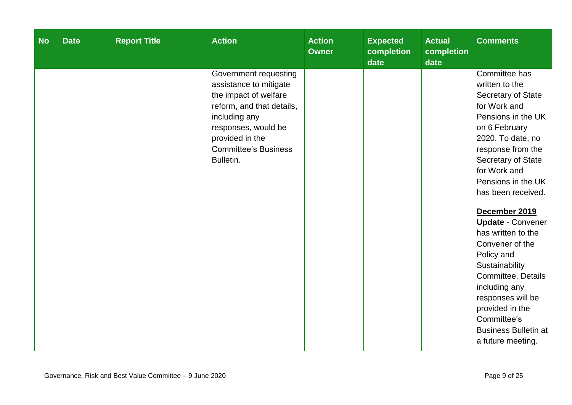| <b>No</b> | <b>Date</b> | <b>Report Title</b> | <b>Action</b>                                                                                                                                                                                                | <b>Action</b><br><b>Owner</b> | <b>Expected</b><br>completion<br>date | <b>Actual</b><br>completion<br>date | <b>Comments</b>                                                                                                                                                                                                                                                                                                                                                                                                                                                                                                         |
|-----------|-------------|---------------------|--------------------------------------------------------------------------------------------------------------------------------------------------------------------------------------------------------------|-------------------------------|---------------------------------------|-------------------------------------|-------------------------------------------------------------------------------------------------------------------------------------------------------------------------------------------------------------------------------------------------------------------------------------------------------------------------------------------------------------------------------------------------------------------------------------------------------------------------------------------------------------------------|
|           |             |                     | Government requesting<br>assistance to mitigate<br>the impact of welfare<br>reform, and that details,<br>including any<br>responses, would be<br>provided in the<br><b>Committee's Business</b><br>Bulletin. |                               |                                       |                                     | Committee has<br>written to the<br>Secretary of State<br>for Work and<br>Pensions in the UK<br>on 6 February<br>2020. To date, no<br>response from the<br>Secretary of State<br>for Work and<br>Pensions in the UK<br>has been received.<br>December 2019<br><b>Update - Convener</b><br>has written to the<br>Convener of the<br>Policy and<br>Sustainability<br><b>Committee. Details</b><br>including any<br>responses will be<br>provided in the<br>Committee's<br><b>Business Bulletin at</b><br>a future meeting. |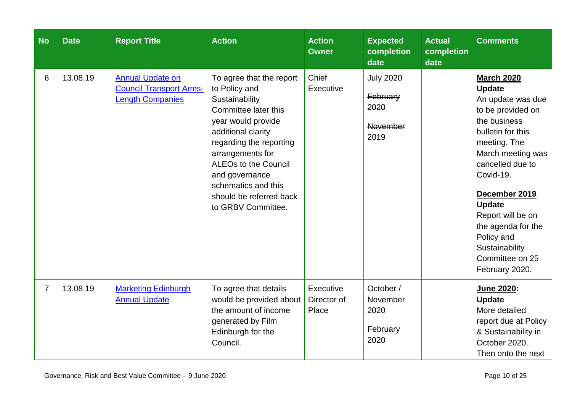| <b>No</b>      | <b>Date</b> | <b>Report Title</b>                                                                  | <b>Action</b>                                                                                                                                                                                                                                                                                           | <b>Action</b><br><b>Owner</b>     | <b>Expected</b><br>completion<br>date                           | <b>Actual</b><br>completion<br>date | <b>Comments</b>                                                                                                                                                                                                                                                                                                                           |
|----------------|-------------|--------------------------------------------------------------------------------------|---------------------------------------------------------------------------------------------------------------------------------------------------------------------------------------------------------------------------------------------------------------------------------------------------------|-----------------------------------|-----------------------------------------------------------------|-------------------------------------|-------------------------------------------------------------------------------------------------------------------------------------------------------------------------------------------------------------------------------------------------------------------------------------------------------------------------------------------|
| 6              | 13.08.19    | <b>Annual Update on</b><br><b>Council Transport Arms-</b><br><b>Length Companies</b> | To agree that the report<br>to Policy and<br>Sustainability<br>Committee later this<br>year would provide<br>additional clarity<br>regarding the reporting<br>arrangements for<br><b>ALEOs to the Council</b><br>and governance<br>schematics and this<br>should be referred back<br>to GRBV Committee. | Chief<br>Executive                | <b>July 2020</b><br>February<br>2020<br><b>November</b><br>2019 |                                     | <b>March 2020</b><br><b>Update</b><br>An update was due<br>to be provided on<br>the business<br>bulletin for this<br>meeting. The<br>March meeting was<br>cancelled due to<br>Covid-19.<br>December 2019<br><b>Update</b><br>Report will be on<br>the agenda for the<br>Policy and<br>Sustainability<br>Committee on 25<br>February 2020. |
| $\overline{7}$ | 13.08.19    | <b>Marketing Edinburgh</b><br><b>Annual Update</b>                                   | To agree that details<br>would be provided about<br>the amount of income<br>generated by Film<br>Edinburgh for the<br>Council.                                                                                                                                                                          | Executive<br>Director of<br>Place | October /<br>November<br>2020<br>February<br>2020               |                                     | <b>June 2020:</b><br><b>Update</b><br>More detailed<br>report due at Policy<br>& Sustainability in<br>October 2020.<br>Then onto the next                                                                                                                                                                                                 |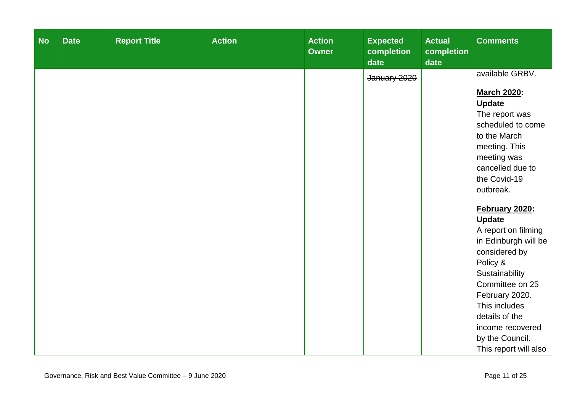| <b>No</b> | <b>Date</b> | <b>Report Title</b> | <b>Action</b> | <b>Action</b><br><b>Owner</b> | <b>Expected</b><br>completion<br>date | <b>Actual</b><br>completion<br>date | <b>Comments</b>                                                                                       |
|-----------|-------------|---------------------|---------------|-------------------------------|---------------------------------------|-------------------------------------|-------------------------------------------------------------------------------------------------------|
|           |             |                     |               |                               | January 2020                          |                                     | available GRBV.<br><b>March 2020:</b><br><b>Update</b><br>The report was                              |
|           |             |                     |               |                               |                                       |                                     | scheduled to come<br>to the March<br>meeting. This<br>meeting was<br>cancelled due to<br>the Covid-19 |
|           |             |                     |               |                               |                                       |                                     | outbreak.<br>February 2020:<br><b>Update</b><br>A report on filming<br>in Edinburgh will be           |
|           |             |                     |               |                               |                                       |                                     | considered by<br>Policy &<br>Sustainability<br>Committee on 25<br>February 2020.                      |
|           |             |                     |               |                               |                                       |                                     | This includes<br>details of the<br>income recovered<br>by the Council.<br>This report will also       |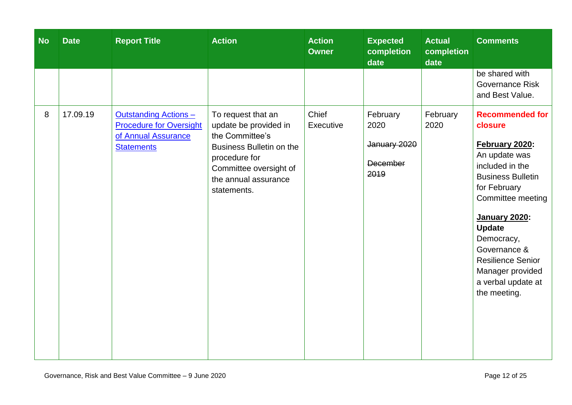| <b>No</b> | <b>Date</b> | <b>Report Title</b>                                                                                        | <b>Action</b>                                                                                                                                                                | <b>Action</b><br><b>Owner</b> | <b>Expected</b><br>completion<br>date                       | <b>Actual</b><br>completion<br>date | <b>Comments</b>                                                                                                                                                                                                                                                                                                       |
|-----------|-------------|------------------------------------------------------------------------------------------------------------|------------------------------------------------------------------------------------------------------------------------------------------------------------------------------|-------------------------------|-------------------------------------------------------------|-------------------------------------|-----------------------------------------------------------------------------------------------------------------------------------------------------------------------------------------------------------------------------------------------------------------------------------------------------------------------|
|           |             |                                                                                                            |                                                                                                                                                                              |                               |                                                             |                                     | be shared with<br><b>Governance Risk</b><br>and Best Value.                                                                                                                                                                                                                                                           |
| 8         | 17.09.19    | <b>Outstanding Actions -</b><br><b>Procedure for Oversight</b><br>of Annual Assurance<br><b>Statements</b> | To request that an<br>update be provided in<br>the Committee's<br>Business Bulletin on the<br>procedure for<br>Committee oversight of<br>the annual assurance<br>statements. | Chief<br>Executive            | February<br>2020<br>January 2020<br><b>December</b><br>2019 | February<br>2020                    | <b>Recommended for</b><br>closure<br>February 2020:<br>An update was<br>included in the<br><b>Business Bulletin</b><br>for February<br>Committee meeting<br><b>January 2020:</b><br><b>Update</b><br>Democracy,<br>Governance &<br><b>Resilience Senior</b><br>Manager provided<br>a verbal update at<br>the meeting. |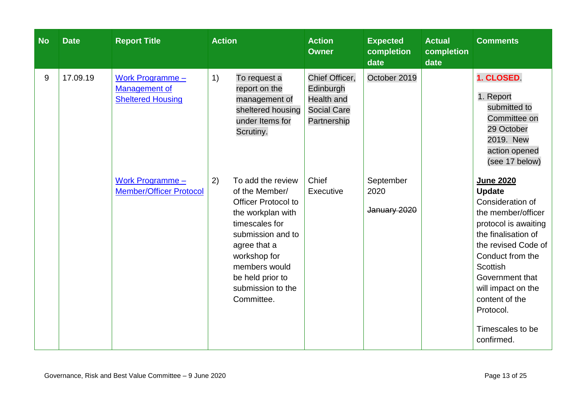| <b>No</b> | <b>Date</b> | <b>Report Title</b>                                                         | <b>Action</b>                                                                                                                                                                                                                               | <b>Action</b><br><b>Owner</b>                                                         | <b>Expected</b><br>completion<br>date | <b>Actual</b><br>completion<br>date | <b>Comments</b>                                                                                                                                                                                                                                                                             |
|-----------|-------------|-----------------------------------------------------------------------------|---------------------------------------------------------------------------------------------------------------------------------------------------------------------------------------------------------------------------------------------|---------------------------------------------------------------------------------------|---------------------------------------|-------------------------------------|---------------------------------------------------------------------------------------------------------------------------------------------------------------------------------------------------------------------------------------------------------------------------------------------|
| 9         | 17.09.19    | <b>Work Programme -</b><br><b>Management of</b><br><b>Sheltered Housing</b> | 1)<br>To request a<br>report on the<br>management of<br>sheltered housing<br>under Items for<br>Scrutiny.                                                                                                                                   | Chief Officer,<br>Edinburgh<br><b>Health and</b><br><b>Social Care</b><br>Partnership | October 2019                          |                                     | 1. CLOSED<br>1. Report<br>submitted to<br>Committee on<br>29 October<br>2019. New<br>action opened<br>(see 17 below)                                                                                                                                                                        |
|           |             | <b>Work Programme -</b><br><b>Member/Officer Protocol</b>                   | 2)<br>To add the review<br>of the Member/<br><b>Officer Protocol to</b><br>the workplan with<br>timescales for<br>submission and to<br>agree that a<br>workshop for<br>members would<br>be held prior to<br>submission to the<br>Committee. | Chief<br>Executive                                                                    | September<br>2020<br>January 2020     |                                     | <b>June 2020</b><br><b>Update</b><br>Consideration of<br>the member/officer<br>protocol is awaiting<br>the finalisation of<br>the revised Code of<br>Conduct from the<br>Scottish<br>Government that<br>will impact on the<br>content of the<br>Protocol.<br>Timescales to be<br>confirmed. |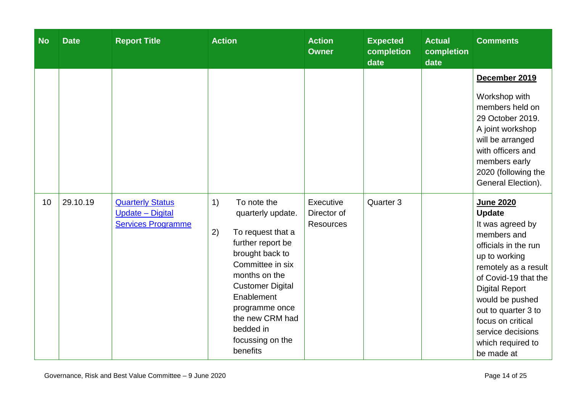| <b>No</b> | <b>Date</b> | <b>Report Title</b>                                                      | <b>Action</b>                                                                                                                                                                                                                                                             | <b>Action</b><br><b>Owner</b>                | <b>Expected</b><br>completion<br>date | <b>Actual</b><br>completion<br>date | <b>Comments</b>                                                                                                                                                                                                                                                                                               |
|-----------|-------------|--------------------------------------------------------------------------|---------------------------------------------------------------------------------------------------------------------------------------------------------------------------------------------------------------------------------------------------------------------------|----------------------------------------------|---------------------------------------|-------------------------------------|---------------------------------------------------------------------------------------------------------------------------------------------------------------------------------------------------------------------------------------------------------------------------------------------------------------|
|           |             |                                                                          |                                                                                                                                                                                                                                                                           |                                              |                                       |                                     | December 2019<br>Workshop with<br>members held on<br>29 October 2019.<br>A joint workshop<br>will be arranged<br>with officers and<br>members early<br>2020 (following the<br>General Election).                                                                                                              |
| 10        | 29.10.19    | <b>Quarterly Status</b><br>Update - Digital<br><b>Services Programme</b> | 1)<br>To note the<br>quarterly update.<br>2)<br>To request that a<br>further report be<br>brought back to<br>Committee in six<br>months on the<br><b>Customer Digital</b><br>Enablement<br>programme once<br>the new CRM had<br>bedded in<br>focussing on the<br>benefits | Executive<br>Director of<br><b>Resources</b> | Quarter 3                             |                                     | <b>June 2020</b><br><b>Update</b><br>It was agreed by<br>members and<br>officials in the run<br>up to working<br>remotely as a result<br>of Covid-19 that the<br><b>Digital Report</b><br>would be pushed<br>out to quarter 3 to<br>focus on critical<br>service decisions<br>which required to<br>be made at |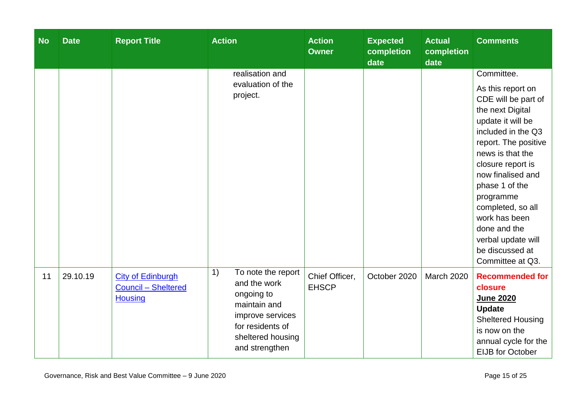| <b>No</b> | <b>Date</b> | <b>Report Title</b>                                                      | <b>Action</b>                                                                                                                                         | <b>Action</b><br><b>Owner</b>  | <b>Expected</b><br>completion<br>date | <b>Actual</b><br>completion<br>date | <b>Comments</b>                                                                                                                                                                                                                                                                                                                                 |
|-----------|-------------|--------------------------------------------------------------------------|-------------------------------------------------------------------------------------------------------------------------------------------------------|--------------------------------|---------------------------------------|-------------------------------------|-------------------------------------------------------------------------------------------------------------------------------------------------------------------------------------------------------------------------------------------------------------------------------------------------------------------------------------------------|
|           |             |                                                                          | realisation and                                                                                                                                       |                                |                                       |                                     | Committee.                                                                                                                                                                                                                                                                                                                                      |
|           |             |                                                                          | evaluation of the<br>project.                                                                                                                         |                                |                                       |                                     | As this report on<br>CDE will be part of<br>the next Digital<br>update it will be<br>included in the Q3<br>report. The positive<br>news is that the<br>closure report is<br>now finalised and<br>phase 1 of the<br>programme<br>completed, so all<br>work has been<br>done and the<br>verbal update will<br>be discussed at<br>Committee at Q3. |
| 11        | 29.10.19    | <b>City of Edinburgh</b><br><b>Council - Sheltered</b><br><b>Housing</b> | To note the report<br>1)<br>and the work<br>ongoing to<br>maintain and<br>improve services<br>for residents of<br>sheltered housing<br>and strengthen | Chief Officer,<br><b>EHSCP</b> | October 2020                          | <b>March 2020</b>                   | <b>Recommended for</b><br>closure<br><b>June 2020</b><br><b>Update</b><br><b>Sheltered Housing</b><br>is now on the<br>annual cycle for the<br><b>EIJB</b> for October                                                                                                                                                                          |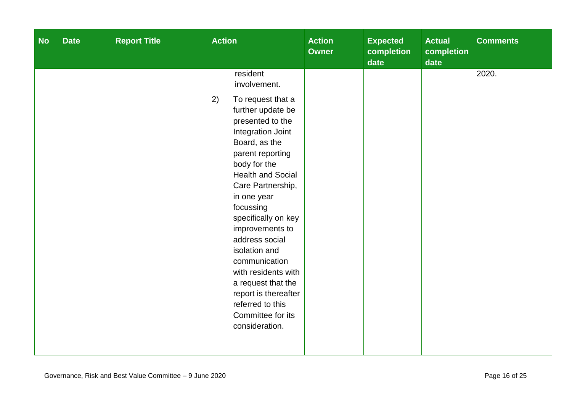| <b>No</b> | <b>Date</b> | <b>Report Title</b> | <b>Action</b>                                                                                                                                                                                                                                                                                                                                                                                                                                                                     | <b>Action</b><br><b>Owner</b> | <b>Expected</b><br>completion<br>date | <b>Actual</b><br>completion<br>date | <b>Comments</b> |
|-----------|-------------|---------------------|-----------------------------------------------------------------------------------------------------------------------------------------------------------------------------------------------------------------------------------------------------------------------------------------------------------------------------------------------------------------------------------------------------------------------------------------------------------------------------------|-------------------------------|---------------------------------------|-------------------------------------|-----------------|
|           |             |                     | resident<br>involvement.<br>To request that a<br>2)<br>further update be<br>presented to the<br>Integration Joint<br>Board, as the<br>parent reporting<br>body for the<br><b>Health and Social</b><br>Care Partnership,<br>in one year<br>focussing<br>specifically on key<br>improvements to<br>address social<br>isolation and<br>communication<br>with residents with<br>a request that the<br>report is thereafter<br>referred to this<br>Committee for its<br>consideration. |                               |                                       |                                     | 2020.           |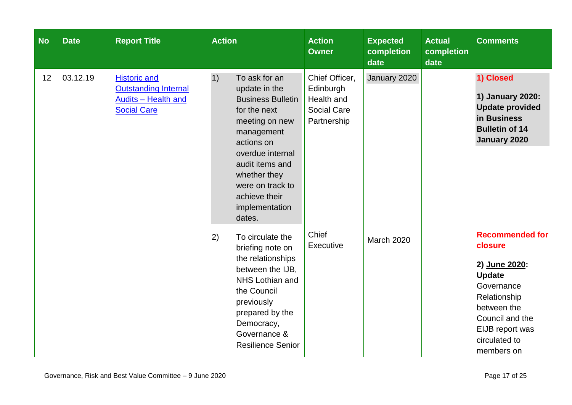| <b>No</b> | <b>Date</b> | <b>Report Title</b>                                                      | <b>Action</b>                                                                                                                                                                                                                                          | <b>Action</b><br><b>Owner</b>                                                  | <b>Expected</b><br>completion<br>date | <b>Actual</b><br>completion<br>date | <b>Comments</b>                                                                                                                                                                       |
|-----------|-------------|--------------------------------------------------------------------------|--------------------------------------------------------------------------------------------------------------------------------------------------------------------------------------------------------------------------------------------------------|--------------------------------------------------------------------------------|---------------------------------------|-------------------------------------|---------------------------------------------------------------------------------------------------------------------------------------------------------------------------------------|
| 12        | 03.12.19    | <b>Outstanding Internal</b><br>Audits - Health and<br><b>Social Care</b> | 1)<br>To ask for an<br>update in the<br><b>Business Bulletin</b><br>for the next<br>meeting on new<br>management<br>actions on<br>overdue internal<br>audit items and<br>whether they<br>were on track to<br>achieve their<br>implementation<br>dates. | Chief Officer,<br>Edinburgh<br>Health and<br><b>Social Care</b><br>Partnership | January 2020                          |                                     | 1) Closed<br>1) January 2020:<br><b>Update provided</b><br>in Business<br><b>Bulletin of 14</b><br>January 2020                                                                       |
|           |             |                                                                          | 2)<br>To circulate the<br>briefing note on<br>the relationships<br>between the IJB,<br><b>NHS Lothian and</b><br>the Council<br>previously<br>prepared by the<br>Democracy,<br>Governance &<br><b>Resilience Senior</b>                                | Chief<br>Executive                                                             | <b>March 2020</b>                     |                                     | <b>Recommended for</b><br>closure<br>2) June 2020:<br><b>Update</b><br>Governance<br>Relationship<br>between the<br>Council and the<br>EIJB report was<br>circulated to<br>members on |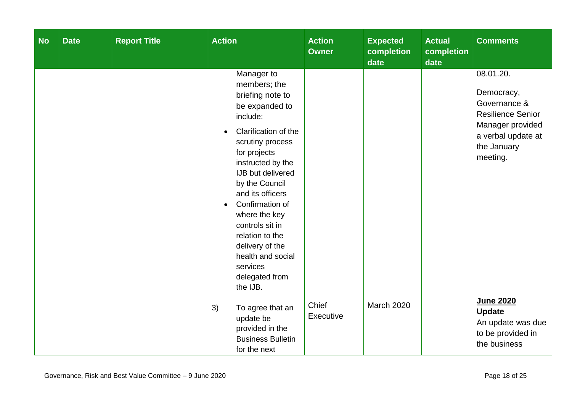| <b>No</b> | <b>Date</b> | <b>Report Title</b> | <b>Action</b>                                                                                                                                                                                                                                                                                                                                                                                                  | <b>Action</b><br><b>Owner</b> | <b>Expected</b><br>completion<br>date | <b>Actual</b><br>completion<br>date | <b>Comments</b>                                                                                                                          |
|-----------|-------------|---------------------|----------------------------------------------------------------------------------------------------------------------------------------------------------------------------------------------------------------------------------------------------------------------------------------------------------------------------------------------------------------------------------------------------------------|-------------------------------|---------------------------------------|-------------------------------------|------------------------------------------------------------------------------------------------------------------------------------------|
|           |             |                     | Manager to<br>members; the<br>briefing note to<br>be expanded to<br>include:<br>Clarification of the<br>$\bullet$<br>scrutiny process<br>for projects<br>instructed by the<br>IJB but delivered<br>by the Council<br>and its officers<br>Confirmation of<br>$\bullet$<br>where the key<br>controls sit in<br>relation to the<br>delivery of the<br>health and social<br>services<br>delegated from<br>the IJB. |                               |                                       |                                     | 08.01.20.<br>Democracy,<br>Governance &<br><b>Resilience Senior</b><br>Manager provided<br>a verbal update at<br>the January<br>meeting. |
|           |             |                     | 3)<br>To agree that an<br>update be<br>provided in the<br><b>Business Bulletin</b><br>for the next                                                                                                                                                                                                                                                                                                             | Chief<br>Executive            | <b>March 2020</b>                     |                                     | June 2020<br><b>Update</b><br>An update was due<br>to be provided in<br>the business                                                     |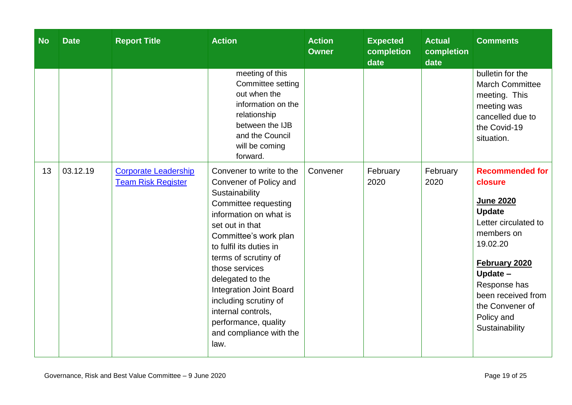| <b>No</b> | <b>Date</b> | <b>Report Title</b>                                      | <b>Action</b>                                                                                                                                                                                                                                                                                                                                                                                           | <b>Action</b><br><b>Owner</b> | <b>Expected</b><br>completion<br>date | <b>Actual</b><br>completion<br>date | <b>Comments</b>                                                                                                                                                                                                                                |
|-----------|-------------|----------------------------------------------------------|---------------------------------------------------------------------------------------------------------------------------------------------------------------------------------------------------------------------------------------------------------------------------------------------------------------------------------------------------------------------------------------------------------|-------------------------------|---------------------------------------|-------------------------------------|------------------------------------------------------------------------------------------------------------------------------------------------------------------------------------------------------------------------------------------------|
|           |             |                                                          | meeting of this<br>Committee setting<br>out when the<br>information on the<br>relationship<br>between the IJB<br>and the Council<br>will be coming<br>forward.                                                                                                                                                                                                                                          |                               |                                       |                                     | bulletin for the<br><b>March Committee</b><br>meeting. This<br>meeting was<br>cancelled due to<br>the Covid-19<br>situation.                                                                                                                   |
| 13        | 03.12.19    | <b>Corporate Leadership</b><br><b>Team Risk Register</b> | Convener to write to the<br>Convener of Policy and<br>Sustainability<br>Committee requesting<br>information on what is<br>set out in that<br>Committee's work plan<br>to fulfil its duties in<br>terms of scrutiny of<br>those services<br>delegated to the<br><b>Integration Joint Board</b><br>including scrutiny of<br>internal controls,<br>performance, quality<br>and compliance with the<br>law. | Convener                      | February<br>2020                      | February<br>2020                    | <b>Recommended for</b><br>closure<br><b>June 2020</b><br><b>Update</b><br>Letter circulated to<br>members on<br>19.02.20<br>February 2020<br>Update -<br>Response has<br>been received from<br>the Convener of<br>Policy and<br>Sustainability |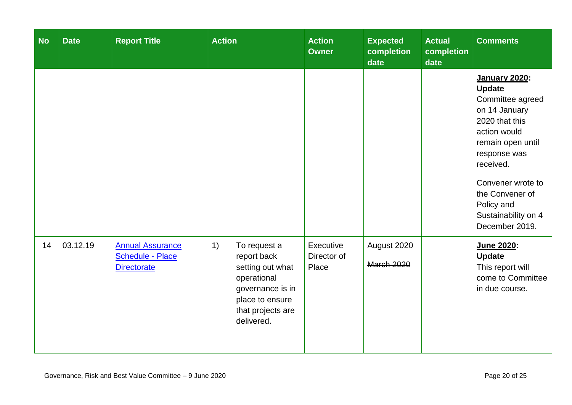| <b>No</b> | <b>Date</b> | <b>Report Title</b>                                                      | <b>Action</b>                                                                                                                                  | <b>Action</b><br><b>Owner</b>     | <b>Expected</b><br>completion<br>date | <b>Actual</b><br>completion<br>date | <b>Comments</b>                                                                                                                                                                                                                                               |
|-----------|-------------|--------------------------------------------------------------------------|------------------------------------------------------------------------------------------------------------------------------------------------|-----------------------------------|---------------------------------------|-------------------------------------|---------------------------------------------------------------------------------------------------------------------------------------------------------------------------------------------------------------------------------------------------------------|
|           |             |                                                                          |                                                                                                                                                |                                   |                                       |                                     | <b>January 2020:</b><br><b>Update</b><br>Committee agreed<br>on 14 January<br>2020 that this<br>action would<br>remain open until<br>response was<br>received.<br>Convener wrote to<br>the Convener of<br>Policy and<br>Sustainability on 4<br>December 2019. |
| 14        | 03.12.19    | <b>Annual Assurance</b><br><b>Schedule - Place</b><br><b>Directorate</b> | 1)<br>To request a<br>report back<br>setting out what<br>operational<br>governance is in<br>place to ensure<br>that projects are<br>delivered. | Executive<br>Director of<br>Place | August 2020<br><b>March 2020</b>      |                                     | June 2020:<br><b>Update</b><br>This report will<br>come to Committee<br>in due course.                                                                                                                                                                        |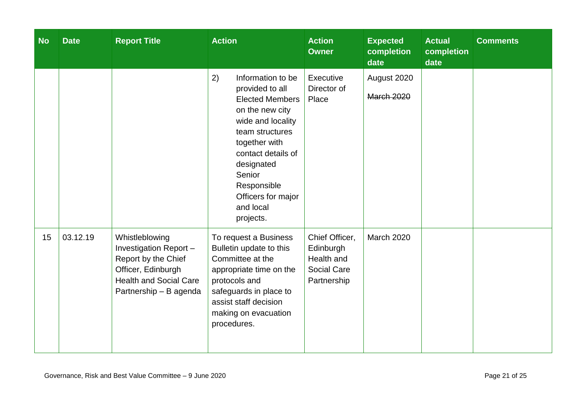| <b>No</b> | <b>Date</b> | <b>Report Title</b>                                                                                                                             | <b>Action</b>                                                                                                                                                                                                                                                 | <b>Action</b><br><b>Owner</b>                                                  | <b>Expected</b><br>completion<br>date | <b>Actual</b><br>completion<br>date | <b>Comments</b> |
|-----------|-------------|-------------------------------------------------------------------------------------------------------------------------------------------------|---------------------------------------------------------------------------------------------------------------------------------------------------------------------------------------------------------------------------------------------------------------|--------------------------------------------------------------------------------|---------------------------------------|-------------------------------------|-----------------|
|           |             |                                                                                                                                                 | 2)<br>Information to be<br>provided to all<br><b>Elected Members</b><br>on the new city<br>wide and locality<br>team structures<br>together with<br>contact details of<br>designated<br>Senior<br>Responsible<br>Officers for major<br>and local<br>projects. | Executive<br>Director of<br>Place                                              | August 2020<br><b>March 2020</b>      |                                     |                 |
| 15        | 03.12.19    | Whistleblowing<br>Investigation Report-<br>Report by the Chief<br>Officer, Edinburgh<br><b>Health and Social Care</b><br>Partnership - B agenda | To request a Business<br>Bulletin update to this<br>Committee at the<br>appropriate time on the<br>protocols and<br>safeguards in place to<br>assist staff decision<br>making on evacuation<br>procedures.                                                    | Chief Officer,<br>Edinburgh<br>Health and<br><b>Social Care</b><br>Partnership | <b>March 2020</b>                     |                                     |                 |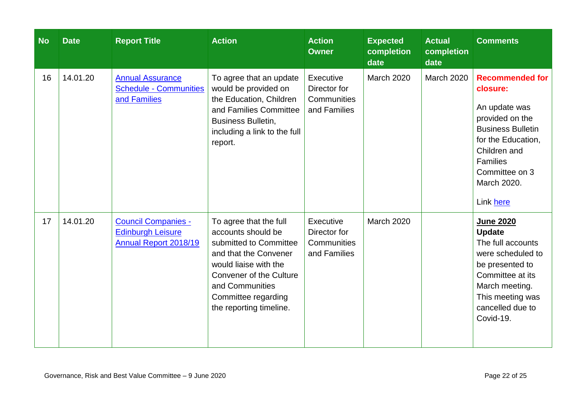| <b>No</b> | <b>Date</b> | <b>Report Title</b>                                                             | <b>Action</b>                                                                                                                                                                                                                   | <b>Action</b><br><b>Owner</b>                            | <b>Expected</b><br>completion<br>date | <b>Actual</b><br>completion<br>date | <b>Comments</b>                                                                                                                                                                                           |
|-----------|-------------|---------------------------------------------------------------------------------|---------------------------------------------------------------------------------------------------------------------------------------------------------------------------------------------------------------------------------|----------------------------------------------------------|---------------------------------------|-------------------------------------|-----------------------------------------------------------------------------------------------------------------------------------------------------------------------------------------------------------|
| 16        | 14.01.20    | <b>Annual Assurance</b><br><b>Schedule - Communities</b><br>and Families        | To agree that an update<br>would be provided on<br>the Education, Children<br>and Families Committee<br><b>Business Bulletin,</b><br>including a link to the full<br>report.                                                    | Executive<br>Director for<br>Communities<br>and Families | March 2020                            | <b>March 2020</b>                   | <b>Recommended for</b><br>closure:<br>An update was<br>provided on the<br><b>Business Bulletin</b><br>for the Education,<br>Children and<br><b>Families</b><br>Committee on 3<br>March 2020.<br>Link here |
| 17        | 14.01.20    | <b>Council Companies -</b><br><b>Edinburgh Leisure</b><br>Annual Report 2018/19 | To agree that the full<br>accounts should be<br>submitted to Committee<br>and that the Convener<br>would liaise with the<br><b>Convener of the Culture</b><br>and Communities<br>Committee regarding<br>the reporting timeline. | Executive<br>Director for<br>Communities<br>and Families | <b>March 2020</b>                     |                                     | <b>June 2020</b><br><b>Update</b><br>The full accounts<br>were scheduled to<br>be presented to<br>Committee at its<br>March meeting.<br>This meeting was<br>cancelled due to<br>Covid-19.                 |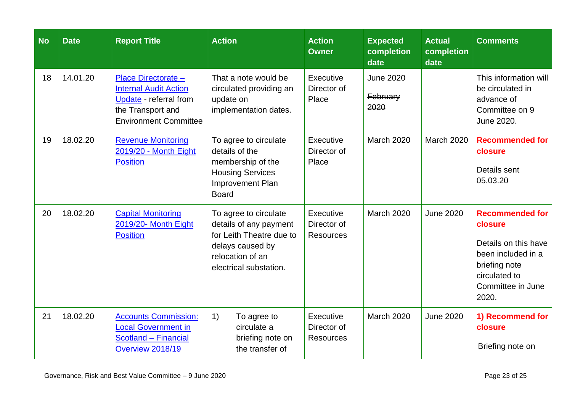| <b>No</b> | <b>Date</b> | <b>Report Title</b>                                                                                                                | <b>Action</b>                                                                                                                                 | <b>Action</b><br><b>Owner</b>                | <b>Expected</b><br>completion<br>date | <b>Actual</b><br>completion<br>date | <b>Comments</b>                                                                                                                                 |
|-----------|-------------|------------------------------------------------------------------------------------------------------------------------------------|-----------------------------------------------------------------------------------------------------------------------------------------------|----------------------------------------------|---------------------------------------|-------------------------------------|-------------------------------------------------------------------------------------------------------------------------------------------------|
| 18        | 14.01.20    | Place Directorate -<br><b>Internal Audit Action</b><br>Update - referral from<br>the Transport and<br><b>Environment Committee</b> | That a note would be<br>circulated providing an<br>update on<br>implementation dates.                                                         | Executive<br>Director of<br>Place            | <b>June 2020</b><br>February<br>2020  |                                     | This information will<br>be circulated in<br>advance of<br>Committee on 9<br>June 2020.                                                         |
| 19        | 18.02.20    | <b>Revenue Monitoring</b><br>2019/20 - Month Eight<br><b>Position</b>                                                              | To agree to circulate<br>details of the<br>membership of the<br><b>Housing Services</b><br>Improvement Plan<br><b>Board</b>                   | Executive<br>Director of<br>Place            | <b>March 2020</b>                     | <b>March 2020</b>                   | <b>Recommended for</b><br>closure<br>Details sent<br>05.03.20                                                                                   |
| 20        | 18.02.20    | <b>Capital Monitoring</b><br>2019/20- Month Eight<br><b>Position</b>                                                               | To agree to circulate<br>details of any payment<br>for Leith Theatre due to<br>delays caused by<br>relocation of an<br>electrical substation. | Executive<br>Director of<br><b>Resources</b> | <b>March 2020</b>                     | <b>June 2020</b>                    | <b>Recommended for</b><br>closure<br>Details on this have<br>been included in a<br>briefing note<br>circulated to<br>Committee in June<br>2020. |
| 21        | 18.02.20    | <b>Accounts Commission:</b><br><b>Local Government in</b><br>Scotland - Financial<br>Overview 2018/19                              | 1)<br>To agree to<br>circulate a<br>briefing note on<br>the transfer of                                                                       | Executive<br>Director of<br><b>Resources</b> | <b>March 2020</b>                     | <b>June 2020</b>                    | 1) Recommend for<br>closure<br>Briefing note on                                                                                                 |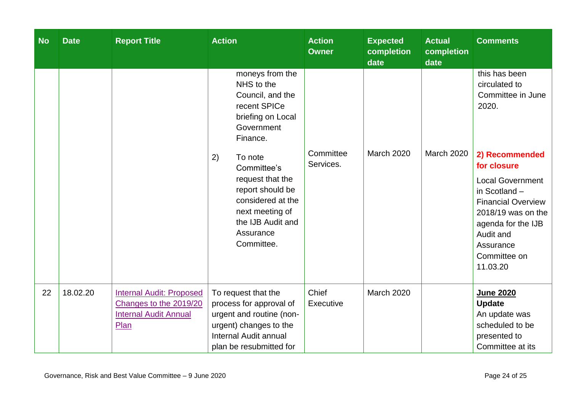| <b>No</b> | <b>Date</b> | <b>Report Title</b>                                                                               | <b>Action</b>                                                                                                                                                | <b>Action</b><br><b>Owner</b> | <b>Expected</b><br>completion<br>date | <b>Actual</b><br>completion<br>date | <b>Comments</b>                                                                                                                                                                                          |
|-----------|-------------|---------------------------------------------------------------------------------------------------|--------------------------------------------------------------------------------------------------------------------------------------------------------------|-------------------------------|---------------------------------------|-------------------------------------|----------------------------------------------------------------------------------------------------------------------------------------------------------------------------------------------------------|
|           |             |                                                                                                   | moneys from the<br>NHS to the<br>Council, and the<br>recent SPICe<br>briefing on Local<br>Government<br>Finance.                                             |                               |                                       |                                     | this has been<br>circulated to<br>Committee in June<br>2020.                                                                                                                                             |
|           |             |                                                                                                   | 2)<br>To note<br>Committee's<br>request that the<br>report should be<br>considered at the<br>next meeting of<br>the IJB Audit and<br>Assurance<br>Committee. | Committee<br>Services.        | <b>March 2020</b>                     | <b>March 2020</b>                   | 2) Recommended<br>for closure<br><b>Local Government</b><br>in Scotland -<br><b>Financial Overview</b><br>2018/19 was on the<br>agenda for the IJB<br>Audit and<br>Assurance<br>Committee on<br>11.03.20 |
| 22        | 18.02.20    | <b>Internal Audit: Proposed</b><br>Changes to the 2019/20<br><b>Internal Audit Annual</b><br>Plan | To request that the<br>process for approval of<br>urgent and routine (non-<br>urgent) changes to the<br>Internal Audit annual<br>plan be resubmitted for     | Chief<br>Executive            | <b>March 2020</b>                     |                                     | <b>June 2020</b><br><b>Update</b><br>An update was<br>scheduled to be<br>presented to<br>Committee at its                                                                                                |